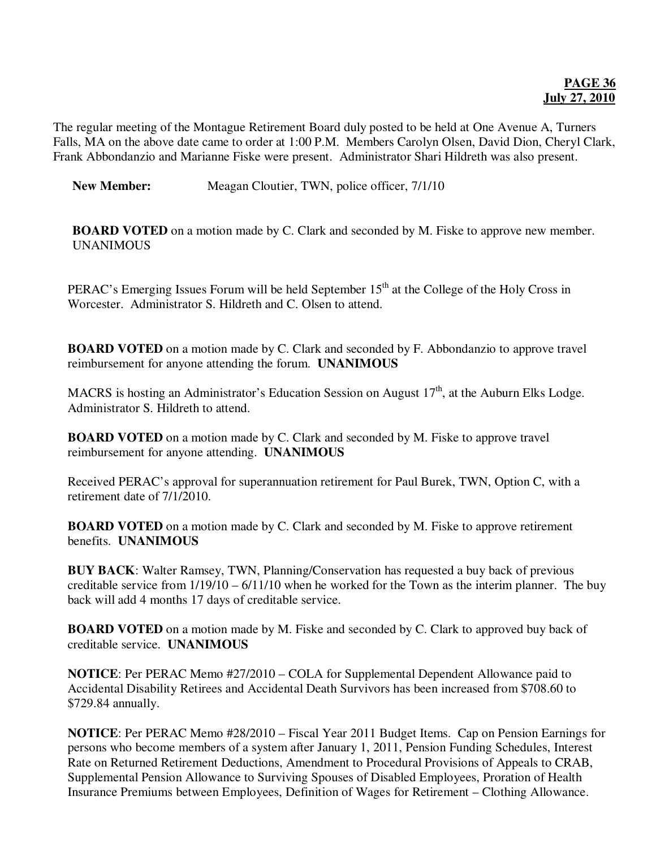## **PAGE 36 July 27, 2010**

The regular meeting of the Montague Retirement Board duly posted to be held at One Avenue A, Turners Falls, MA on the above date came to order at 1:00 P.M. Members Carolyn Olsen, David Dion, Cheryl Clark, Frank Abbondanzio and Marianne Fiske were present. Administrator Shari Hildreth was also present.

**New Member:** Meagan Cloutier, TWN, police officer, 7/1/10

**BOARD VOTED** on a motion made by C. Clark and seconded by M. Fiske to approve new member. UNANIMOUS

PERAC's Emerging Issues Forum will be held September  $15<sup>th</sup>$  at the College of the Holy Cross in Worcester. Administrator S. Hildreth and C. Olsen to attend.

**BOARD VOTED** on a motion made by C. Clark and seconded by F. Abbondanzio to approve travel reimbursement for anyone attending the forum. **UNANIMOUS** 

MACRS is hosting an Administrator's Education Session on August 17<sup>th</sup>, at the Auburn Elks Lodge. Administrator S. Hildreth to attend.

**BOARD VOTED** on a motion made by C. Clark and seconded by M. Fiske to approve travel reimbursement for anyone attending. **UNANIMOUS**

Received PERAC's approval for superannuation retirement for Paul Burek, TWN, Option C, with a retirement date of 7/1/2010.

**BOARD VOTED** on a motion made by C. Clark and seconded by M. Fiske to approve retirement benefits. **UNANIMOUS** 

**BUY BACK**: Walter Ramsey, TWN, Planning/Conservation has requested a buy back of previous creditable service from 1/19/10 – 6/11/10 when he worked for the Town as the interim planner. The buy back will add 4 months 17 days of creditable service.

**BOARD VOTED** on a motion made by M. Fiske and seconded by C. Clark to approved buy back of creditable service. **UNANIMOUS**

**NOTICE**: Per PERAC Memo #27/2010 – COLA for Supplemental Dependent Allowance paid to Accidental Disability Retirees and Accidental Death Survivors has been increased from \$708.60 to \$729.84 annually.

**NOTICE**: Per PERAC Memo #28/2010 – Fiscal Year 2011 Budget Items. Cap on Pension Earnings for persons who become members of a system after January 1, 2011, Pension Funding Schedules, Interest Rate on Returned Retirement Deductions, Amendment to Procedural Provisions of Appeals to CRAB, Supplemental Pension Allowance to Surviving Spouses of Disabled Employees, Proration of Health Insurance Premiums between Employees, Definition of Wages for Retirement – Clothing Allowance.